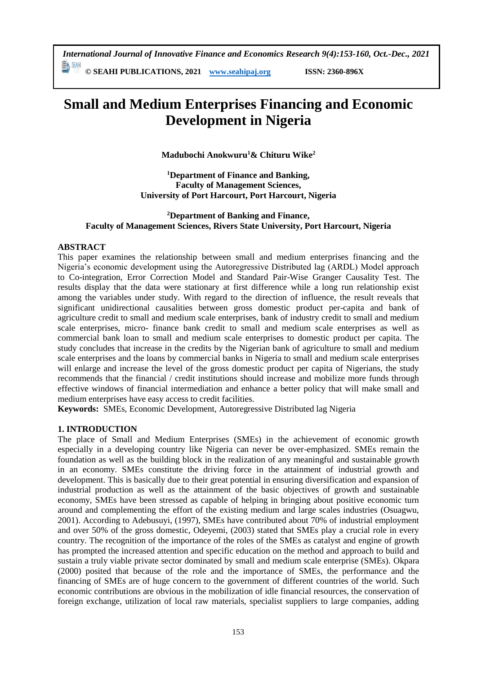*International Journal of Innovative Finance and Economics Research 9(4):153-160, Oct.-Dec., 2021*

**© SEAHI PUBLICATIONS, 2021 [www.seahipaj.org](http://www.seahipaj.org/) ISSN: 2360-896X**

# **Small and Medium Enterprises Financing and Economic Development in Nigeria**

**Madubochi Anokwuru<sup>1</sup>& Chituru Wike<sup>2</sup>**

**<sup>1</sup>Department of Finance and Banking, Faculty of Management Sciences, University of Port Harcourt, Port Harcourt, Nigeria**

# **<sup>2</sup>Department of Banking and Finance, Faculty of Management Sciences, Rivers State University, Port Harcourt, Nigeria**

# **ABSTRACT**

This paper examines the relationship between small and medium enterprises financing and the Nigeria's economic development using the Autoregressive Distributed lag (ARDL) Model approach to Co-integration, Error Correction Model and Standard Pair-Wise Granger Causality Test. The results display that the data were stationary at first difference while a long run relationship exist among the variables under study. With regard to the direction of influence, the result reveals that significant unidirectional causalities between gross domestic product per-capita and bank of agriculture credit to small and medium scale enterprises, bank of industry credit to small and medium scale enterprises, micro- finance bank credit to small and medium scale enterprises as well as commercial bank loan to small and medium scale enterprises to domestic product per capita. The study concludes that increase in the credits by the Nigerian bank of agriculture to small and medium scale enterprises and the loans by commercial banks in Nigeria to small and medium scale enterprises will enlarge and increase the level of the gross domestic product per capita of Nigerians, the study recommends that the financial / credit institutions should increase and mobilize more funds through effective windows of financial intermediation and enhance a better policy that will make small and medium enterprises have easy access to credit facilities.

**Keywords:**SMEs, Economic Development, Autoregressive Distributed lag Nigeria

### **1. INTRODUCTION**

The place of Small and Medium Enterprises (SMEs) in the achievement of economic growth especially in a developing country like Nigeria can never be over-emphasized. SMEs remain the foundation as well as the building block in the realization of any meaningful and sustainable growth in an economy. SMEs constitute the driving force in the attainment of industrial growth and development. This is basically due to their great potential in ensuring diversification and expansion of industrial production as well as the attainment of the basic objectives of growth and sustainable economy, SMEs have been stressed as capable of helping in bringing about positive economic turn around and complementing the effort of the existing medium and large scales industries (Osuagwu, 2001). According to Adebusuyi, (1997), SMEs have contributed about 70% of industrial employment and over 50% of the gross domestic, Odeyemi, (2003) stated that SMEs play a crucial role in every country. The recognition of the importance of the roles of the SMEs as catalyst and engine of growth has prompted the increased attention and specific education on the method and approach to build and sustain a truly viable private sector dominated by small and medium scale enterprise (SMEs). Okpara (2000) posited that because of the role and the importance of SMEs, the performance and the financing of SMEs are of huge concern to the government of different countries of the world. Such economic contributions are obvious in the mobilization of idle financial resources, the conservation of foreign exchange, utilization of local raw materials, specialist suppliers to large companies, adding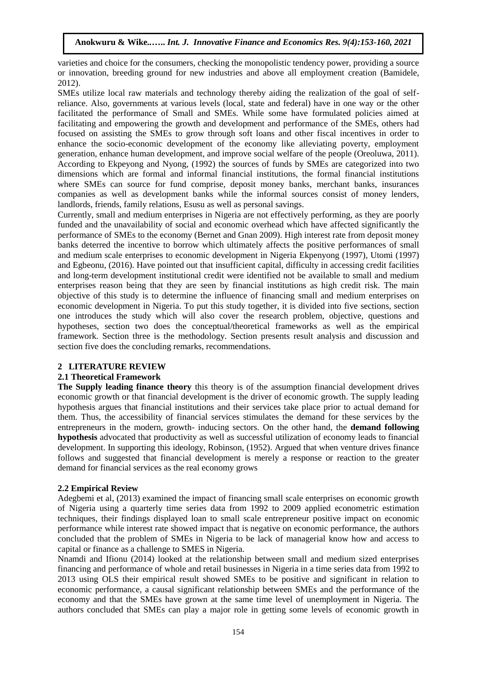varieties and choice for the consumers, checking the monopolistic tendency power, providing a source or innovation, breeding ground for new industries and above all employment creation (Bamidele, 2012).

SMEs utilize local raw materials and technology thereby aiding the realization of the goal of selfreliance. Also, governments at various levels (local, state and federal) have in one way or the other facilitated the performance of Small and SMEs. While some have formulated policies aimed at facilitating and empowering the growth and development and performance of the SMEs, others had focused on assisting the SMEs to grow through soft loans and other fiscal incentives in order to enhance the socio-economic development of the economy like alleviating poverty, employment generation, enhance human development, and improve social welfare of the people (Oreoluwa, 2011). According to Ekpeyong and Nyong, (1992) the sources of funds by SMEs are categorized into two dimensions which are formal and informal financial institutions, the formal financial institutions where SMEs can source for fund comprise, deposit money banks, merchant banks, insurances companies as well as development banks while the informal sources consist of money lenders, landlords, friends, family relations, Esusu as well as personal savings.

Currently, small and medium enterprises in Nigeria are not effectively performing, as they are poorly funded and the unavailability of social and economic overhead which have affected significantly the performance of SMEs to the economy (Bernet and Gnan 2009). High interest rate from deposit money banks deterred the incentive to borrow which ultimately affects the positive performances of small and medium scale enterprises to economic development in Nigeria Ekpenyong (1997), Utomi (1997) and Egbeonu, (2016). Have pointed out that insufficient capital, difficulty in accessing credit facilities and long-term development institutional credit were identified not be available to small and medium enterprises reason being that they are seen by financial institutions as high credit risk. The main objective of this study is to determine the influence of financing small and medium enterprises on economic development in Nigeria. To put this study together, it is divided into five sections, section one introduces the study which will also cover the research problem, objective, questions and hypotheses, section two does the conceptual/theoretical frameworks as well as the empirical framework. Section three is the methodology. Section presents result analysis and discussion and section five does the concluding remarks, recommendations.

# **2 LITERATURE REVIEW**

# **2.1 Theoretical Framework**

**The Supply leading finance theory** this theory is of the assumption financial development drives economic growth or that financial development is the driver of economic growth. The supply leading hypothesis argues that financial institutions and their services take place prior to actual demand for them. Thus, the accessibility of financial services stimulates the demand for these services by the entrepreneurs in the modern, growth- inducing sectors. On the other hand, the **demand following hypothesis** advocated that productivity as well as successful utilization of economy leads to financial development. In supporting this ideology, Robinson, (1952). Argued that when venture drives finance follows and suggested that financial development is merely a response or reaction to the greater demand for financial services as the real economy grows

# **2.2 Empirical Review**

Adegbemi et al, (2013) examined the impact of financing small scale enterprises on economic growth of Nigeria using a quarterly time series data from 1992 to 2009 applied econometric estimation techniques, their findings displayed loan to small scale entrepreneur positive impact on economic performance while interest rate showed impact that is negative on economic performance, the authors concluded that the problem of SMEs in Nigeria to be lack of managerial know how and access to capital or finance as a challenge to SMES in Nigeria.

Nnamdi and Ifionu (2014) looked at the relationship between small and medium sized enterprises financing and performance of whole and retail businesses in Nigeria in a time series data from 1992 to 2013 using OLS their empirical result showed SMEs to be positive and significant in relation to economic performance, a causal significant relationship between SMEs and the performance of the economy and that the SMEs have grown at the same time level of unemployment in Nigeria. The authors concluded that SMEs can play a major role in getting some levels of economic growth in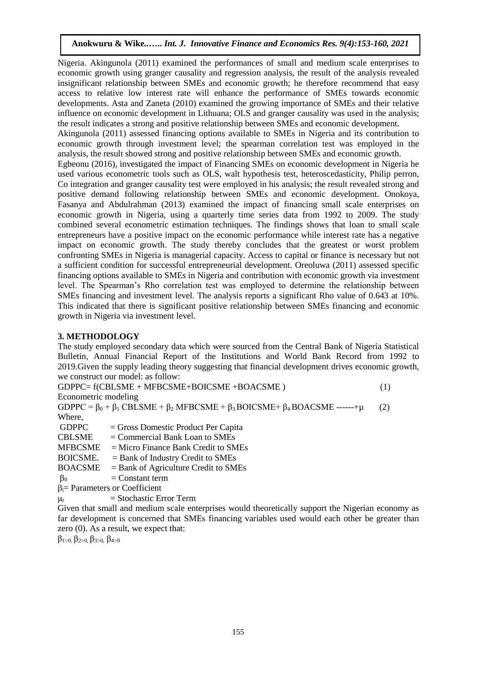Nigeria. Akingunola (2011) examined the performances of small and medium scale enterprises to economic growth using granger causality and regression analysis, the result of the analysis revealed insignificant relationship between SMEs and economic growth; he therefore recommend that easy access to relative low interest rate will enhance the performance of SMEs towards economic developments. Asta and Zaneta (2010) examined the growing importance of SMEs and their relative influence on economic development in Lithuana; OLS and granger causality was used in the analysis; the result indicates a strong and positive relationship between SMEs and economic development.

Akingunola (2011) assessed financing options available to SMEs in Nigeria and its contribution to economic growth through investment level; the spearman correlation test was employed in the analysis, the result showed strong and positive relationship between SMEs and economic growth.

Egbeonu (2016), investigated the impact of Financing SMEs on economic development in Nigeria he used various econometric tools such as OLS, walt hypothesis test, heteroscedasticity, Philip perron, Co integration and granger causality test were employed in his analysis; the result revealed strong and positive demand following relationship between SMEs and economic development. Onokoya, Fasanya and Abdulrahman (2013) examined the impact of financing small scale enterprises on economic growth in Nigeria, using a quarterly time series data from 1992 to 2009. The study combined several econometric estimation techniques. The findings shows that loan to small scale entrepreneurs have a positive impact on the economic performance while interest rate has a negative impact on economic growth. The study thereby concludes that the greatest or worst problem confronting SMEs in Nigeria is managerial capacity. Access to capital or finance is necessary but not a sufficient condition for successful entrepreneurial development. Oreoluwa (2011) assessed specific financing options available to SMEs in Nigeria and contribution with economic growth via investment level. The Spearman's Rho correlation test was employed to determine the relationship between SMEs financing and investment level. The analysis reports a significant Rho value of 0.643 at 10%. This indicated that there is significant positive relationship between SMEs financing and economic growth in Nigeria via investment level.

#### **3. METHODOLOGY**

The study employed secondary data which were sourced from the Central Bank of Nigeria Statistical Bulletin, Annual Financial Report of the Institutions and World Bank Record from 1992 to 2019.Given the supply leading theory suggesting that financial development drives economic growth, we construct our model: as follow:

 $GDPPC = f(CBLSME + MFBCSME + BOICSME + BOACSME)$  (1) Econometric modeling GDPPC =  $\beta_0 + \beta_1$  CBLSME +  $\beta_2$  MFBCSME +  $\beta_3$  BOICSME +  $\beta_4$  BOACSME -----+ $\mu$  (2) Where,  $GDPPC = Gross$  Domestic Product Per Capita  $CBLSME = Commercial Bank Loan to SMEs$  $MFBCSME = MicroFinance Bank Credit to SMEs$ BOICSME. = Bank of Industry Credit to SMEs  $BOACSME = Bank of Agriculture Credit to SMEs$  $\beta_0$  = Constant term

βi= Parameters or Coefficient

 $\mu_t$  = Stochastic Error Term

Given that small and medium scale enterprises would theoretically support the Nigerian economy as far development is concerned that SMEs financing variables used would each other be greater than zero (0). As a result, we expect that:

β1>0, β2>0, β3>0, β4>0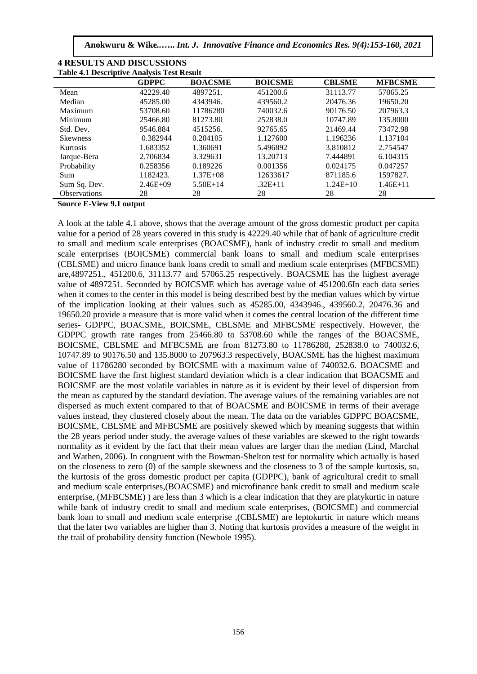**Anokwuru & Wike***..***…..** *Int. J. Innovative Finance and Economics Res. 9(4):153-160, 2021*

| Table 4.1 Descriptive Analysis Test Result |              |                |                |               |                |  |
|--------------------------------------------|--------------|----------------|----------------|---------------|----------------|--|
|                                            | <b>GDPPC</b> | <b>BOACSME</b> | <b>BOICSME</b> | <b>CBLSME</b> | <b>MFBCSME</b> |  |
| Mean                                       | 42229.40     | 4897251.       | 451200.6       | 31113.77      | 57065.25       |  |
| Median                                     | 45285.00     | 4343946.       | 439560.2       | 20476.36      | 19650.20       |  |
| Maximum                                    | 53708.60     | 11786280       | 740032.6       | 90176.50      | 207963.3       |  |
| Minimum                                    | 25466.80     | 81273.80       | 252838.0       | 10747.89      | 135,8000       |  |
| Std. Dev.                                  | 9546.884     | 4515256.       | 92765.65       | 21469.44      | 73472.98       |  |
| <b>Skewness</b>                            | 0.382944     | 0.204105       | 1.127600       | 1.196236      | 1.137104       |  |
| Kurtosis                                   | 1.683352     | 1.360691       | 5.496892       | 3.810812      | 2.754547       |  |
| Jarque-Bera                                | 2.706834     | 3.329631       | 13.20713       | 7.444891      | 6.104315       |  |
| Probability                                | 0.258356     | 0.189226       | 0.001356       | 0.024175      | 0.047257       |  |
| Sum                                        | 1182423.     | $1.37E + 0.8$  | 12633617       | 871185.6      | 1597827.       |  |
| Sum Sq. Dev.                               | $2.46E + 09$ | $5.50E+14$     | $.32E+11$      | $1.24E+10$    | $1.46E + 11$   |  |
| <b>Observations</b>                        | 28           | 28             | 28             | 28            | 28             |  |

| <b>4 RESULTS AND DISCUSSIONS</b>                  |
|---------------------------------------------------|
| <b>Table 4.1 Descriptive Analysis Test Result</b> |

**Source E-View 9.1 output**

A look at the table 4.1 above, shows that the average amount of the gross domestic product per capita value for a period of 28 years covered in this study is 42229.40 while that of bank of agriculture credit to small and medium scale enterprises (BOACSME), bank of industry credit to small and medium scale enterprises (BOICSME) commercial bank loans to small and medium scale enterprises (CBLSME) and micro finance bank loans credit to small and medium scale enterprises (MFBCSME) are,4897251., 451200.6, 31113.77 and 57065.25 respectively. BOACSME has the highest average value of 4897251. Seconded by BOICSME which has average value of 451200.6In each data series when it comes to the center in this model is being described best by the median values which by virtue of the implication looking at their values such as 45285.00, 4343946., 439560.2, 20476.36 and 19650.20 provide a measure that is more valid when it comes the central location of the different time series- GDPPC, BOACSME, BOICSME, CBLSME and MFBCSME respectively. However, the GDPPC growth rate ranges from 25466.80 to 53708.60 while the ranges of the BOACSME, BOICSME, CBLSME and MFBCSME are from 81273.80 to 11786280, 252838.0 to 740032.6, 10747.89 to 90176.50 and 135.8000 to 207963.3 respectively, BOACSME has the highest maximum value of 11786280 seconded by BOICSME with a maximum value of 740032.6. BOACSME and BOICSME have the first highest standard deviation which is a clear indication that BOACSME and BOICSME are the most volatile variables in nature as it is evident by their level of dispersion from the mean as captured by the standard deviation. The average values of the remaining variables are not dispersed as much extent compared to that of BOACSME and BOICSME in terms of their average values instead, they clustered closely about the mean. The data on the variables GDPPC BOACSME, BOICSME, CBLSME and MFBCSME are positively skewed which by meaning suggests that within the 28 years period under study, the average values of these variables are skewed to the right towards normality as it evident by the fact that their mean values are larger than the median (Lind, Marchal and Wathen, 2006). In congruent with the Bowman-Shelton test for normality which actually is based on the closeness to zero (0) of the sample skewness and the closeness to 3 of the sample kurtosis, so, the kurtosis of the gross domestic product per capita (GDPPC), bank of agricultural credit to small and medium scale enterprises,(BOACSME) and microfinance bank credit to small and medium scale enterprise, (MFBCSME) ) are less than 3 which is a clear indication that they are platykurtic in nature while bank of industry credit to small and medium scale enterprises, (BOICSME) and commercial bank loan to small and medium scale enterprise ,(CBLSME) are leptokurtic in nature which means that the later two variables are higher than 3. Noting that kurtosis provides a measure of the weight in the trail of probability density function (Newbole 1995).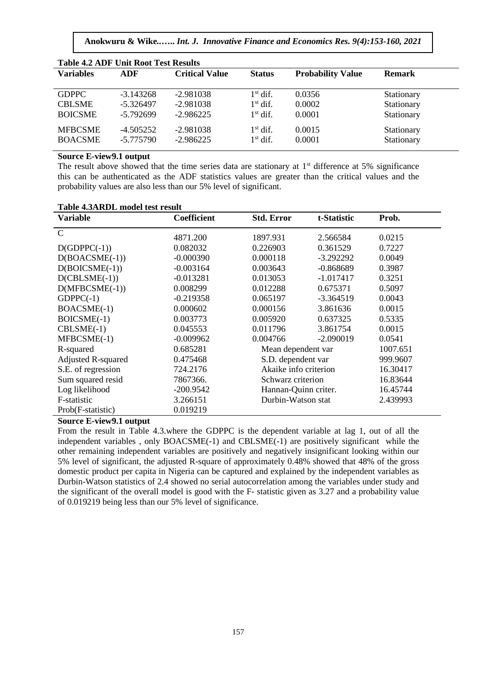**Anokwuru & Wike***..***…..** *Int. J. Innovative Finance and Economics Res. 9(4):153-160, 2021*

| <b>Table 4.2 ADF Unit Root Test Results</b> |             |                       |                   |                          |               |  |
|---------------------------------------------|-------------|-----------------------|-------------------|--------------------------|---------------|--|
| <b>Variables</b>                            | <b>ADF</b>  | <b>Critical Value</b> | <b>Status</b>     | <b>Probability Value</b> | <b>Remark</b> |  |
| <b>GDPPC</b>                                | $-3.143268$ | $-2.981038$           | $1^{\rm st}$ dif. | 0.0356                   | Stationary    |  |
| <b>CBLSME</b>                               | $-5.326497$ | $-2.981038$           | $1st$ dif.        | 0.0002                   | Stationary    |  |
| <b>BOICSME</b>                              | $-5.792699$ | $-2.986225$           | $1st$ dif.        | 0.0001                   | Stationary    |  |
| <b>MFBCSME</b>                              | $-4.505252$ | $-2.981038$           | $1^{\rm st}$ dif. | 0.0015                   | Stationary    |  |
| <b>BOACSME</b>                              | $-5.775790$ | $-2.986225$           | $1st$ dif.        | 0.0001                   | Stationary    |  |

#### **Source E-view9.1 output**

The result above showed that the time series data are stationary at  $1<sup>st</sup>$  difference at 5% significance this can be authenticated as the ADF statistics values are greater than the critical values and the probability values are also less than our 5% level of significant.

| Table 4.3ARDL model test result |                    |
|---------------------------------|--------------------|
| Variable                        | <b>Coefficient</b> |

| <b>Variable</b>           | <b>Coefficient</b> | <b>Std. Error</b> | t-Statistic           | Prob.  |
|---------------------------|--------------------|-------------------|-----------------------|--------|
| $\mathcal{C}$             | 4871.200           | 1897.931          | 2.566584              | 0.0215 |
| $D(GDPPC(-1))$            | 0.082032           | 0.226903          | 0.361529              | 0.7227 |
| $D(BOACSME(-1))$          | $-0.000390$        | 0.000118          | $-3.292292$           | 0.0049 |
| $D(BOICSME(-1))$          | $-0.003164$        | 0.003643          | $-0.868689$           | 0.3987 |
| $D(CBLSME(-1))$           | $-0.013281$        | 0.013053          | $-1.017417$           | 0.3251 |
| $D(MFBCSME(-1))$          | 0.008299           | 0.012288          | 0.675371              | 0.5097 |
| $GDPPC(-1)$               | $-0.219358$        | 0.065197          | $-3.364519$           | 0.0043 |
| BOACSME(-1)               | 0.000602           | 0.000156          | 3.861636              | 0.0015 |
| BOICSME(-1)               | 0.003773           | 0.005920          | 0.637325              | 0.5335 |
| $CBLSME(-1)$              | 0.045553           | 0.011796          | 3.861754              | 0.0015 |
| MFBCSME(-1)               | $-0.009962$        | 0.004766          | $-2.090019$           | 0.0541 |
| R-squared                 | 0.685281           |                   | Mean dependent var    |        |
| <b>Adjusted R-squared</b> | 0.475468           |                   | S.D. dependent var    |        |
| S.E. of regression        | 724.2176           |                   | Akaike info criterion |        |
| Sum squared resid         | 7867366.           |                   | Schwarz criterion     |        |
| Log likelihood            | $-200.9542$        |                   | Hannan-Quinn criter.  |        |
| F-statistic               | 3.266151           |                   | Durbin-Watson stat    |        |
| Prob(F-statistic)         | 0.019219           |                   |                       |        |

# **Source E-view9.1 output**

From the result in Table 4.3.where the GDPPC is the dependent variable at lag 1, out of all the independent variables , only BOACSME(-1) and CBLSME(-1) are positively significant while the other remaining independent variables are positively and negatively insignificant looking within our 5% level of significant, the adjusted R-square of approximately 0.48% showed that 48% of the gross domestic product per capita in Nigeria can be captured and explained by the independent variables as Durbin-Watson statistics of 2.4 showed no serial autocorrelation among the variables under study and the significant of the overall model is good with the F- statistic given as 3.27 and a probability value of 0.019219 being less than our 5% level of significance.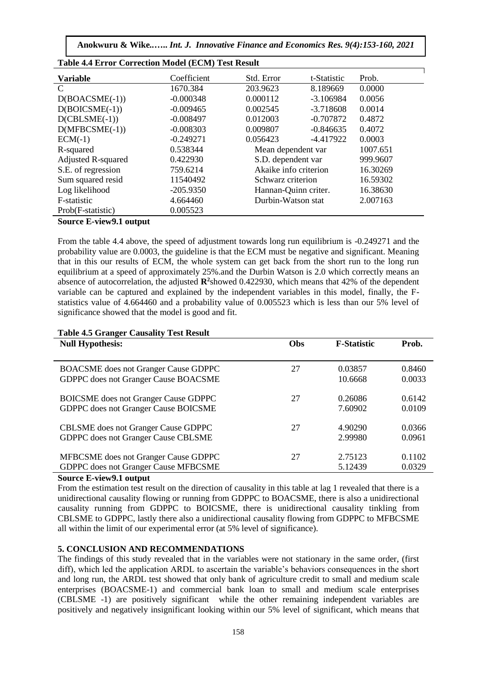| <b>Table 4.4 Error Correction Model (ECM) Test Result</b>                                                                                                                                                                                                                                                                                                                                                                                                                                            |             |            |                       |        |  |
|------------------------------------------------------------------------------------------------------------------------------------------------------------------------------------------------------------------------------------------------------------------------------------------------------------------------------------------------------------------------------------------------------------------------------------------------------------------------------------------------------|-------------|------------|-----------------------|--------|--|
| <b>Variable</b>                                                                                                                                                                                                                                                                                                                                                                                                                                                                                      | Coefficient | Std. Error | t-Statistic           | Prob.  |  |
| C                                                                                                                                                                                                                                                                                                                                                                                                                                                                                                    | 1670.384    | 203.9623   | 8.189669              | 0.0000 |  |
| $D(BOACSME(-1))$                                                                                                                                                                                                                                                                                                                                                                                                                                                                                     | $-0.000348$ | 0.000112   | $-3.106984$           | 0.0056 |  |
| $D(BOICSME(-1))$                                                                                                                                                                                                                                                                                                                                                                                                                                                                                     | $-0.009465$ | 0.002545   | $-3.718608$           | 0.0014 |  |
| $D(CBLSME(-1))$                                                                                                                                                                                                                                                                                                                                                                                                                                                                                      | $-0.008497$ | 0.012003   | $-0.707872$           | 0.4872 |  |
| $D(MFBCSME(-1))$                                                                                                                                                                                                                                                                                                                                                                                                                                                                                     | $-0.008303$ | 0.009807   | $-0.846635$           | 0.4072 |  |
| $ECM(-1)$                                                                                                                                                                                                                                                                                                                                                                                                                                                                                            | $-0.249271$ | 0.056423   | $-4.417922$           | 0.0003 |  |
| R-squared                                                                                                                                                                                                                                                                                                                                                                                                                                                                                            | 0.538344    |            | Mean dependent var    |        |  |
| <b>Adjusted R-squared</b>                                                                                                                                                                                                                                                                                                                                                                                                                                                                            | 0.422930    |            | S.D. dependent var    |        |  |
| S.E. of regression                                                                                                                                                                                                                                                                                                                                                                                                                                                                                   | 759.6214    |            | Akaike info criterion |        |  |
| Sum squared resid                                                                                                                                                                                                                                                                                                                                                                                                                                                                                    | 11540492    |            | Schwarz criterion     |        |  |
| Log likelihood                                                                                                                                                                                                                                                                                                                                                                                                                                                                                       | $-205.9350$ |            | Hannan-Quinn criter.  |        |  |
| F-statistic                                                                                                                                                                                                                                                                                                                                                                                                                                                                                          | 4.664460    |            | Durbin-Watson stat    |        |  |
| Prob(F-statistic)                                                                                                                                                                                                                                                                                                                                                                                                                                                                                    | 0.005523    |            |                       |        |  |
| $\sim$<br>$\blacksquare$ $\blacksquare$ $\blacksquare$ $\blacksquare$ $\blacksquare$ $\blacksquare$ $\blacksquare$ $\blacksquare$ $\blacksquare$ $\blacksquare$ $\blacksquare$ $\blacksquare$ $\blacksquare$ $\blacksquare$ $\blacksquare$ $\blacksquare$ $\blacksquare$ $\blacksquare$ $\blacksquare$ $\blacksquare$ $\blacksquare$ $\blacksquare$ $\blacksquare$ $\blacksquare$ $\blacksquare$ $\blacksquare$ $\blacksquare$ $\blacksquare$ $\blacksquare$ $\blacksquare$ $\blacksquare$ $\blacks$ |             |            |                       |        |  |

# **Source E-view9.1 output**

From the table 4.4 above, the speed of adjustment towards long run equilibrium is -0.249271 and the probability value are 0.0003, the guideline is that the ECM must be negative and significant. Meaning that in this our results of ECM, the whole system can get back from the short run to the long run equilibrium at a speed of approximately 25%.and the Durbin Watson is 2.0 which correctly means an absence of autocorrelation, the adjusted **R<sup>2</sup>** showed 0.422930, which means that 42% of the dependent variable can be captured and explained by the independent variables in this model, finally, the Fstatistics value of 4.664460 and a probability value of 0.005523 which is less than our 5% level of significance showed that the model is good and fit.

| <b>Null Hypothesis:</b>                                                           | Obs | <b>F-Statistic</b> | Prob.            |
|-----------------------------------------------------------------------------------|-----|--------------------|------------------|
|                                                                                   |     |                    |                  |
| <b>BOACSME</b> does not Granger Cause GDPPC                                       | 27  | 0.03857            | 0.8460           |
| GDPPC does not Granger Cause BOACSME                                              |     | 10.6668            | 0.0033           |
| <b>BOICSME</b> does not Granger Cause GDPPC                                       | 27  | 0.26086            | 0.6142           |
| GDPPC does not Granger Cause BOICSME                                              |     | 7.60902            | 0.0109           |
| <b>CBLSME</b> does not Granger Cause GDPPC                                        | 27  | 4.90290            | 0.0366           |
| <b>GDPPC</b> does not Granger Cause CBLSME                                        |     | 2.99980            | 0.0961           |
| MFBCSME does not Granger Cause GDPPC<br>GDPPC does not Granger Cause MFBCSME<br>. | 27  | 2.75123<br>5.12439 | 0.1102<br>0.0329 |

#### **Table 4.5 Granger Causality Test Result**

#### **Source E-view9.1 output**

From the estimation test result on the direction of causality in this table at lag 1 revealed that there is a unidirectional causality flowing or running from GDPPC to BOACSME, there is also a unidirectional causality running from GDPPC to BOICSME, there is unidirectional causality tinkling from CBLSME to GDPPC, lastly there also a unidirectional causality flowing from GDPPC to MFBCSME all within the limit of our experimental error (at 5% level of significance).

### **5. CONCLUSION AND RECOMMENDATIONS**

The findings of this study revealed that in the variables were not stationary in the same order, (first diff), which led the application ARDL to ascertain the variable's behaviors consequences in the short and long run, the ARDL test showed that only bank of agriculture credit to small and medium scale enterprises (BOACSME-1) and commercial bank loan to small and medium scale enterprises (CBLSME -1) are positively significant while the other remaining independent variables are positively and negatively insignificant looking within our 5% level of significant, which means that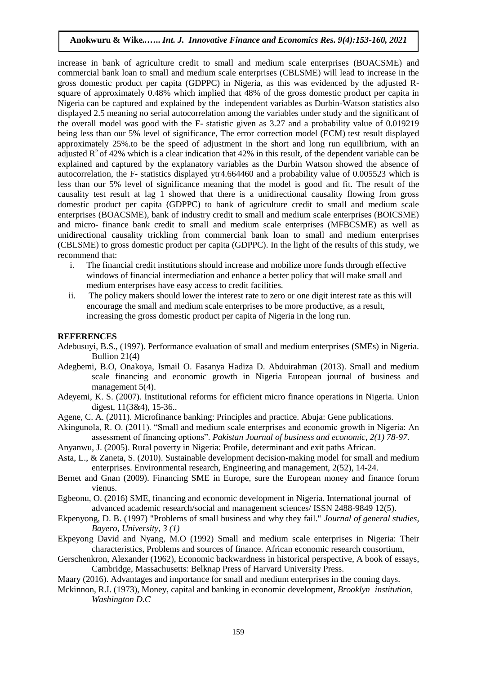increase in bank of agriculture credit to small and medium scale enterprises (BOACSME) and commercial bank loan to small and medium scale enterprises (CBLSME) will lead to increase in the gross domestic product per capita (GDPPC) in Nigeria, as this was evidenced by the adjusted Rsquare of approximately 0.48% which implied that 48% of the gross domestic product per capita in Nigeria can be captured and explained by the independent variables as Durbin-Watson statistics also displayed 2.5 meaning no serial autocorrelation among the variables under study and the significant of the overall model was good with the F- statistic given as 3.27 and a probability value of 0.019219 being less than our 5% level of significance, The error correction model (ECM) test result displayed approximately 25%.to be the speed of adjustment in the short and long run equilibrium, with an adjusted  $R^2$  of 42% which is a clear indication that 42% in this result, of the dependent variable can be explained and captured by the explanatory variables as the Durbin Watson showed the absence of autocorrelation, the F- statistics displayed ytr4.664460 and a probability value of 0.005523 which is less than our 5% level of significance meaning that the model is good and fit. The result of the causality test result at lag 1 showed that there is a unidirectional causality flowing from gross domestic product per capita (GDPPC) to bank of agriculture credit to small and medium scale enterprises (BOACSME), bank of industry credit to small and medium scale enterprises (BOICSME) and micro- finance bank credit to small and medium scale enterprises (MFBCSME) as well as unidirectional causality trickling from commercial bank loan to small and medium enterprises (CBLSME) to gross domestic product per capita (GDPPC). In the light of the results of this study, we recommend that:

- i. The financial credit institutions should increase and mobilize more funds through effective windows of financial intermediation and enhance a better policy that will make small and medium enterprises have easy access to credit facilities.
- ii. The policy makers should lower the interest rate to zero or one digit interest rate as this will encourage the small and medium scale enterprises to be more productive, as a result, increasing the gross domestic product per capita of Nigeria in the long run.

#### **REFERENCES**

- Adebusuyi, B.S., (1997). Performance evaluation of small and medium enterprises (SMEs) in Nigeria. Bullion 21(4)
- Adegbemi, B.O, Onakoya, Ismail O. Fasanya Hadiza D. Abduirahman (2013). Small and medium scale financing and economic growth in Nigeria European journal of business and management 5(4).
- Adeyemi, K. S. (2007). Institutional reforms for efficient micro finance operations in Nigeria. Union digest, 11(3&4), 15-36..
- Agene, C. A. (2011). Microfinance banking: Principles and practice. Abuja: Gene publications.

Akingunola, R. O. (2011). "Small and medium scale enterprises and economic growth in Nigeria: An assessment of financing options". *Pakistan Journal of business and economic, 2(1) 78-97.*

- Anyanwu, J. (2005). Rural poverty in Nigeria: Profile, determinant and exit paths African.
- Asta, L., & Zaneta, S. (2010). Sustainable development decision-making model for small and medium enterprises. Environmental research, Engineering and management, 2(52), 14-24.
- Bernet and Gnan (2009). Financing SME in Europe, sure the European money and finance forum vienus.
- Egbeonu, O. (2016) SME, financing and economic development in Nigeria. International journal of advanced academic research/social and management sciences/ ISSN 2488-9849 12(5).
- Ekpenyong, D. B. (1997) "Problems of small business and why they fail." *Journal of general studies, Bayero, University, 3 (1)*
- Ekpeyong David and Nyang, M.O (1992) Small and medium scale enterprises in Nigeria: Their characteristics, Problems and sources of finance. African economic research consortium,
- Gerschenkron, Alexander (1962), Economic backwardness in historical perspective, A book of essays, Cambridge, Massachusetts: Belknap Press of Harvard University Press.

Maary (2016). Advantages and importance for small and medium enterprises in the coming days.

Mckinnon, R.I. (1973), Money, capital and banking in economic development*, Brooklyn institution, Washington D.C*